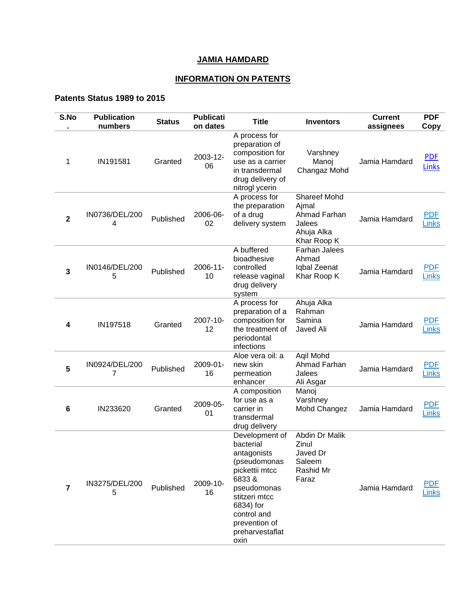## **JAMIA HAMDARD**

## **INFORMATION ON PATENTS**

## **Patents Status 1989 to 2015**

| S.No                    | <b>Publication</b><br>numbers | <b>Status</b> | <b>Publicati</b><br>on dates | <b>Title</b>                                                                                                                                                                                  | <b>Inventors</b>                                                                    | <b>Current</b><br>assignees | <b>PDF</b><br>Copy  |
|-------------------------|-------------------------------|---------------|------------------------------|-----------------------------------------------------------------------------------------------------------------------------------------------------------------------------------------------|-------------------------------------------------------------------------------------|-----------------------------|---------------------|
| 1                       | IN191581                      | Granted       | 2003-12-<br>06               | A process for<br>preparation of<br>composition for<br>use as a carrier<br>in transdermal<br>drug delivery of<br>nitrogl ycerin                                                                | Varshney<br>Manoj<br>Changaz Mohd                                                   | Jamia Hamdard               | <b>PDF</b><br>Links |
| $\overline{\mathbf{2}}$ | IN0736/DEL/200<br>4           | Published     | 2006-06-<br>02               | A process for<br>the preparation<br>of a drug<br>delivery system                                                                                                                              | <b>Shareef Mohd</b><br>Ajmal<br>Ahmad Farhan<br>Jalees<br>Ahuja Alka<br>Khar Roop K | Jamia Hamdard               | <b>PDF</b><br>Links |
| 3                       | IN0146/DEL/200<br>5           | Published     | 2006-11-<br>10               | A buffered<br>bioadhesive<br>controlled<br>release vaginal<br>drug delivery<br>system                                                                                                         | Farhan Jalees<br>Ahmad<br>Iqbal Zeenat<br>Khar Roop K                               | Jamia Hamdard               | PDE<br>Links        |
| 4                       | IN197518                      | Granted       | 2007-10-<br>12               | A process for<br>preparation of a<br>composition for<br>the treatment of<br>periodontal<br>infections                                                                                         | Ahuja Alka<br>Rahman<br>Samina<br>Javed Ali                                         | Jamia Hamdard               | PDE<br>Links        |
| 5                       | IN0924/DEL/200<br>7           | Published     | 2009-01-<br>16               | Aloe vera oil: a<br>new skin<br>permeation<br>enhancer                                                                                                                                        | Agil Mohd<br>Ahmad Farhan<br>Jalees<br>Ali Asgar                                    | Jamia Hamdard               | <b>PDF</b><br>Links |
| 6                       | IN233620                      | Granted       | 2009-05-<br>01               | A composition<br>for use as a<br>carrier in<br>transdermal<br>drug delivery                                                                                                                   | Manoj<br>Varshney<br>Mohd Changez                                                   | Jamia Hamdard               | <b>PDF</b><br>Links |
| 7                       | IN3275/DEL/200<br>5           | Published     | 2009-10-<br>16               | Development of<br>bacterial<br>antagonists<br>(pseudomonas<br>pickettii mtcc<br>6833&<br>pseudomonas<br>stitzeri mtcc<br>6834) for<br>control and<br>prevention of<br>preharvestaflat<br>oxin | Abdin Dr Malik<br>Zinul<br>Javed Dr<br>Saleem<br>Rashid Mr<br>Faraz                 | Jamia Hamdard               | <b>PDF</b><br>Links |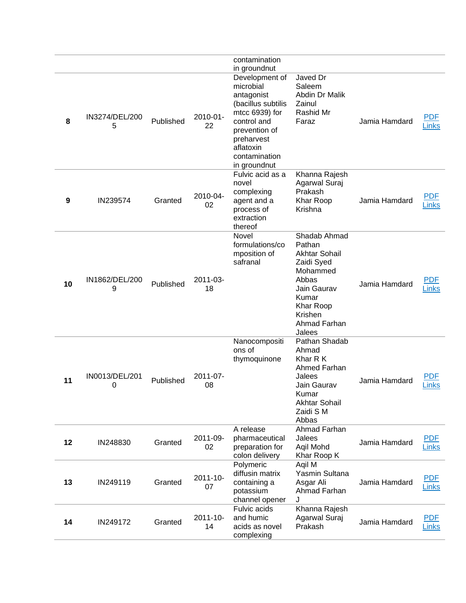|    |                     |           |                | contamination<br>in groundnut                                                                                                                                                 |                                                                                                                                                             |               |                            |
|----|---------------------|-----------|----------------|-------------------------------------------------------------------------------------------------------------------------------------------------------------------------------|-------------------------------------------------------------------------------------------------------------------------------------------------------------|---------------|----------------------------|
| 8  | IN3274/DEL/200<br>5 | Published | 2010-01-<br>22 | Development of<br>microbial<br>antagonist<br>(bacillus subtilis<br>mtcc 6939) for<br>control and<br>prevention of<br>preharvest<br>aflatoxin<br>contamination<br>in groundnut | Javed Dr<br>Saleem<br>Abdin Dr Malik<br>Zainul<br>Rashid Mr<br>Faraz                                                                                        | Jamia Hamdard | PDF<br>Links               |
| 9  | IN239574            | Granted   | 2010-04-<br>02 | Fulvic acid as a<br>novel<br>complexing<br>agent and a<br>process of<br>extraction<br>thereof                                                                                 | Khanna Rajesh<br>Agarwal Suraj<br>Prakash<br>Khar Roop<br>Krishna                                                                                           | Jamia Hamdard | <b>PDF</b><br>Links        |
| 10 | IN1862/DEL/200<br>9 | Published | 2011-03-<br>18 | Novel<br>formulations/co<br>mposition of<br>safranal                                                                                                                          | Shadab Ahmad<br>Pathan<br><b>Akhtar Sohail</b><br>Zaidi Syed<br>Mohammed<br>Abbas<br>Jain Gaurav<br>Kumar<br>Khar Roop<br>Krishen<br>Ahmad Farhan<br>Jalees | Jamia Hamdard | <b>PDF</b><br>Links        |
| 11 | IN0013/DEL/201<br>0 | Published | 2011-07-<br>08 | Nanocompositi<br>ons of<br>thymoquinone                                                                                                                                       | Pathan Shadab<br>Ahmad<br>Khar R K<br>Ahmed Farhan<br>Jalees<br>Jain Gaurav<br>Kumar<br><b>Akhtar Sohail</b><br>Zaidi S M<br>Abbas                          | Jamia Hamdard | PDF<br>Links               |
| 12 | IN248830            | Granted   | 2011-09-<br>02 | A release<br>pharmaceutical<br>preparation for<br>colon delivery                                                                                                              | Ahmad Farhan<br>Jalees<br>Aqil Mohd<br>Khar Roop K                                                                                                          | Jamia Hamdard | <u>PDF</u><br><b>Links</b> |
| 13 | IN249119            | Granted   | 2011-10-<br>07 | Polymeric<br>diffusin matrix<br>containing a<br>potassium<br>channel opener                                                                                                   | Aqil M<br>Yasmin Sultana<br>Asgar Ali<br>Ahmad Farhan<br>J.                                                                                                 | Jamia Hamdard | <u>PDF</u><br>Links        |
| 14 | IN249172            | Granted   | 2011-10-<br>14 | <b>Fulvic acids</b><br>and humic<br>acids as novel<br>complexing                                                                                                              | Khanna Rajesh<br>Agarwal Suraj<br>Prakash                                                                                                                   | Jamia Hamdard | <u>PDF</u><br>Links        |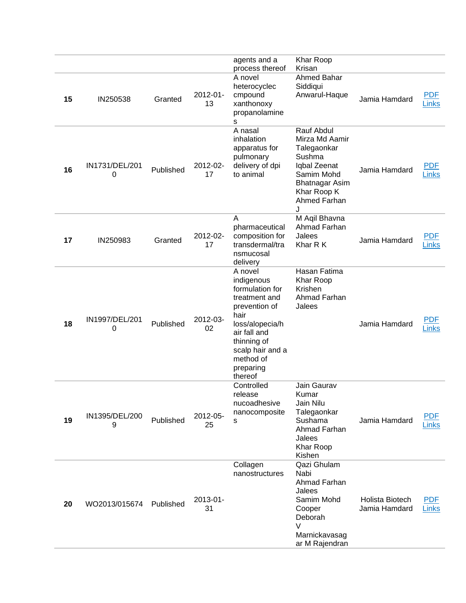|    |                     |           |                | agents and a<br>process thereof                                                                                                                                                               | Khar Roop<br>Krisan                                                                                                                              |                                         |                            |
|----|---------------------|-----------|----------------|-----------------------------------------------------------------------------------------------------------------------------------------------------------------------------------------------|--------------------------------------------------------------------------------------------------------------------------------------------------|-----------------------------------------|----------------------------|
| 15 | IN250538            | Granted   | 2012-01-<br>13 | A novel<br>heterocyclec<br>cmpound<br>xanthonoxy<br>propanolamine<br>s                                                                                                                        | <b>Ahmed Bahar</b><br>Siddiqui<br>Anwarul-Haque                                                                                                  | Jamia Hamdard                           | <b>PDF</b><br>Links        |
| 16 | IN1731/DEL/201<br>0 | Published | 2012-02-<br>17 | A nasal<br>inhalation<br>apparatus for<br>pulmonary<br>delivery of dpi<br>to animal                                                                                                           | Rauf Abdul<br>Mirza Md Aamir<br>Talegaonkar<br>Sushma<br>Iqbal Zeenat<br>Samim Mohd<br><b>Bhatnagar Asim</b><br>Khar Roop K<br>Ahmed Farhan<br>J | Jamia Hamdard                           | <b>PDF</b><br>Links        |
| 17 | IN250983            | Granted   | 2012-02-<br>17 | Α<br>pharmaceutical<br>composition for<br>transdermal/tra<br>nsmucosal<br>delivery                                                                                                            | M Aqil Bhavna<br>Ahmad Farhan<br>Jalees<br>Khar R K                                                                                              | Jamia Hamdard                           | <b>PDF</b><br>Links        |
| 18 | IN1997/DEL/201<br>0 | Published | 2012-03-<br>02 | A novel<br>indigenous<br>formulation for<br>treatment and<br>prevention of<br>hair<br>loss/alopecia/h<br>air fall and<br>thinning of<br>scalp hair and a<br>method of<br>preparing<br>thereof | Hasan Fatima<br>Khar Roop<br>Krishen<br>Ahmad Farhan<br>Jalees                                                                                   | Jamia Hamdard                           | <b>PDF</b><br>Links        |
| 19 | IN1395/DEL/200<br>9 | Published | 2012-05-<br>25 | Controlled<br>release<br>nucoadhesive<br>nanocomposite<br>s                                                                                                                                   | Jain Gaurav<br>Kumar<br>Jain Nilu<br>Talegaonkar<br>Sushama<br>Ahmad Farhan<br>Jalees<br>Khar Roop<br>Kishen                                     | Jamia Hamdard                           | <b>PDF</b><br><b>Links</b> |
| 20 | WO2013/015674       | Published | 2013-01-<br>31 | Collagen<br>nanostructures                                                                                                                                                                    | Qazi Ghulam<br>Nabi<br>Ahmad Farhan<br>Jalees<br>Samim Mohd<br>Cooper<br>Deborah<br>$\vee$<br>Marnickavasag<br>ar M Rajendran                    | <b>Holista Biotech</b><br>Jamia Hamdard | <b>PDF</b><br><b>Links</b> |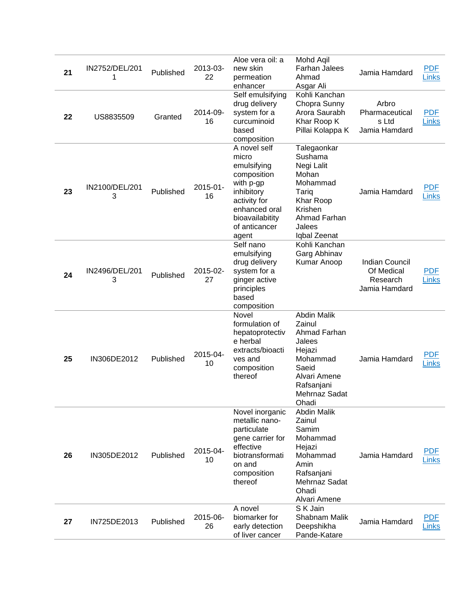| 21 | IN2752/DEL/201<br>1 | Published | 2013-03-<br>22 | Aloe vera oil: a<br>new skin<br>permeation<br>enhancer                                                                                                       | Mohd Aqil<br><b>Farhan Jalees</b><br>Ahmad<br>Asgar Ali                                                                                       | Jamia Hamdard                                                    | <b>PDF</b><br><b>Links</b> |
|----|---------------------|-----------|----------------|--------------------------------------------------------------------------------------------------------------------------------------------------------------|-----------------------------------------------------------------------------------------------------------------------------------------------|------------------------------------------------------------------|----------------------------|
| 22 | US8835509           | Granted   | 2014-09-<br>16 | Self emulsifying<br>drug delivery<br>system for a<br>curcuminoid<br>based<br>composition                                                                     | Kohli Kanchan<br>Chopra Sunny<br>Arora Saurabh<br>Khar Roop K<br>Pillai Kolappa K                                                             | Arbro<br>Pharmaceutical<br>s Ltd<br>Jamia Hamdard                | <b>PDF</b><br>Links        |
| 23 | IN2100/DEL/201<br>3 | Published | 2015-01-<br>16 | A novel self<br>micro<br>emulsifying<br>composition<br>with p-gp<br>inhibitory<br>activity for<br>enhanced oral<br>bioavailabitity<br>of anticancer<br>agent | Talegaonkar<br>Sushama<br>Negi Lalit<br>Mohan<br>Mohammad<br>Tariq<br>Khar Roop<br>Krishen<br>Ahmad Farhan<br>Jalees<br>Iqbal Zeenat          | Jamia Hamdard                                                    | <b>PDF</b><br><b>Links</b> |
| 24 | IN2496/DEL/201<br>3 | Published | 2015-02-<br>27 | Self nano<br>emulsifying<br>drug delivery<br>system for a<br>ginger active<br>principles<br>based<br>composition                                             | Kohli Kanchan<br>Garg Abhinav<br>Kumar Anoop                                                                                                  | <b>Indian Council</b><br>Of Medical<br>Research<br>Jamia Hamdard | <b>PDF</b><br>Links        |
| 25 | IN306DE2012         | Published | 2015-04-<br>10 | Novel<br>formulation of<br>hepatoprotectiv<br>e herbal<br>extracts/bioacti<br>ves and<br>composition<br>thereof                                              | <b>Abdin Malik</b><br>Zainul<br>Ahmad Farhan<br>Jalees<br>Hejazi<br>Mohammad<br>Saeid<br>Alvari Amene<br>Rafsanjani<br>Mehrnaz Sadat<br>Ohadi | Jamia Hamdard                                                    | <b>PDF</b><br><b>Links</b> |
| 26 | IN305DE2012         | Published | 2015-04-<br>10 | Novel inorganic<br>metallic nano-<br>particulate<br>gene carrier for<br>effective<br>biotransformati<br>on and<br>composition<br>thereof                     | <b>Abdin Malik</b><br>Zainul<br>Samim<br>Mohammad<br>Hejazi<br>Mohammad<br>Amin<br>Rafsanjani<br>Mehrnaz Sadat<br>Ohadi<br>Alvari Amene       | Jamia Hamdard                                                    | <b>PDF</b><br><b>Links</b> |
| 27 | IN725DE2013         | Published | 2015-06-<br>26 | A novel<br>biomarker for<br>early detection<br>of liver cancer                                                                                               | S K Jain<br>Shabnam Malik<br>Deepshikha<br>Pande-Katare                                                                                       | Jamia Hamdard                                                    | <b>PDF</b><br>Links        |